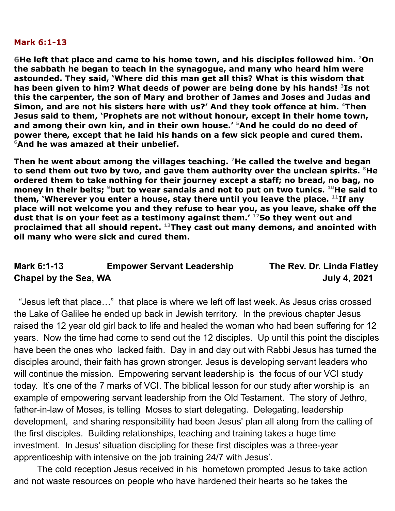## **Mark 6:1-13**

**6He left that place and came to his home town, and his disciples followed him. <sup>2</sup>On the sabbath he began to teach in the synagogue, and many who heard him were astounded. They said, 'Where did this man get all this? What is this wisdom that has been given to him? What deeds of power are being done by his hands! <sup>3</sup>Is not this the carpenter, the son of Mary and brother of James and Joses and Judas and Simon, and are not his sisters here with us?' And they took offence at him. <sup>4</sup>Then Jesus said to them, 'Prophets are not without honour, except in their home town, and among their own kin, and in their own house.' <sup>5</sup>And he could do no deed of power there, except that he laid his hands on a few sick people and cured them. <sup>6</sup>And he was amazed at their unbelief.**

**Then he went about among the villages teaching. <sup>7</sup>He called the twelve and began to send them out two by two, and gave them authority over the unclean spirits. <sup>8</sup>He ordered them to take nothing for their journey except a staff; no bread, no bag, no money in their belts; <sup>9</sup>but to wear sandals and not to put on two tunics. <sup>10</sup>He said to them, 'Wherever you enter a house, stay there until you leave the place. <sup>11</sup>If any place will not welcome you and they refuse to hear you, as you leave, shake off the dust that is on your feet as a testimony against them.' <sup>12</sup>So they went out and proclaimed that all should repent. <sup>13</sup>They cast out many demons, and anointed with oil many who were sick and cured them.**

## **Mark 6:1-13 Empower Servant Leadership The Rev. Dr. Linda Flatley Chapel by the Sea, WA July 4, 2021**

"Jesus left that place…" that place is where we left off last week. As Jesus criss crossed the Lake of Galilee he ended up back in Jewish territory. In the previous chapter Jesus raised the 12 year old girl back to life and healed the woman who had been suffering for 12 years. Now the time had come to send out the 12 disciples. Up until this point the disciples have been the ones who lacked faith. Day in and day out with Rabbi Jesus has turned the disciples around, their faith has grown stronger. Jesus is developing servant leaders who will continue the mission. Empowering servant leadership is the focus of our VCI study today. It's one of the 7 marks of VCI. The biblical lesson for our study after worship is an example of empowering servant leadership from the Old Testament. The story of Jethro, father-in-law of Moses, is telling Moses to start delegating. Delegating, leadership development, and sharing responsibility had been Jesus' plan all along from the calling of the first disciples. Building relationships, teaching and training takes a huge time investment. In Jesus' situation discipling for these first disciples was a three-year apprenticeship with intensive on the job training 24/7 with Jesus'.

The cold reception Jesus received in his hometown prompted Jesus to take action and not waste resources on people who have hardened their hearts so he takes the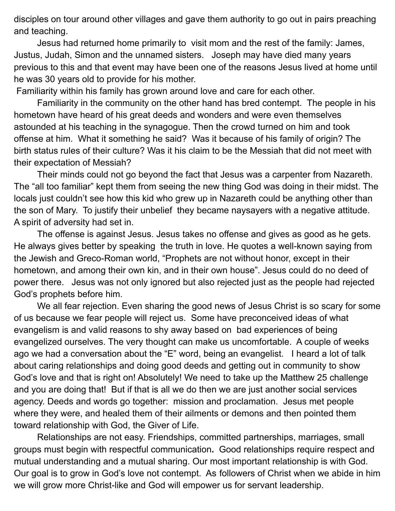disciples on tour around other villages and gave them authority to go out in pairs preaching and teaching.

Jesus had returned home primarily to visit mom and the rest of the family: James, Justus, Judah, Simon and the unnamed sisters. Joseph may have died many years previous to this and that event may have been one of the reasons Jesus lived at home until he was 30 years old to provide for his mother.

Familiarity within his family has grown around love and care for each other.

Familiarity in the community on the other hand has bred contempt. The people in his hometown have heard of his great deeds and wonders and were even themselves astounded at his teaching in the synagogue. Then the crowd turned on him and took offense at him. What it something he said? Was it because of his family of origin? The birth status rules of their culture? Was it his claim to be the Messiah that did not meet with their expectation of Messiah?

Their minds could not go beyond the fact that Jesus was a carpenter from Nazareth. The "all too familiar" kept them from seeing the new thing God was doing in their midst. The locals just couldn't see how this kid who grew up in Nazareth could be anything other than the son of Mary. To justify their unbelief they became naysayers with a negative attitude. A spirit of adversity had set in.

The offense is against Jesus. Jesus takes no offense and gives as good as he gets. He always gives better by speaking the truth in love. He quotes a well-known saying from the Jewish and Greco-Roman world, "Prophets are not without honor, except in their hometown, and among their own kin, and in their own house". Jesus could do no deed of power there. Jesus was not only ignored but also rejected just as the people had rejected God's prophets before him.

We all fear rejection. Even sharing the good news of Jesus Christ is so scary for some of us because we fear people will reject us. Some have preconceived ideas of what evangelism is and valid reasons to shy away based on bad experiences of being evangelized ourselves. The very thought can make us uncomfortable. A couple of weeks ago we had a conversation about the "E" word, being an evangelist. I heard a lot of talk about caring relationships and doing good deeds and getting out in community to show God's love and that is right on! Absolutely! We need to take up the Matthew 25 challenge and you are doing that! But if that is all we do then we are just another social services agency. Deeds and words go together: mission and proclamation. Jesus met people where they were, and healed them of their ailments or demons and then pointed them toward relationship with God, the Giver of Life.

Relationships are not easy. Friendships, committed partnerships, marriages, small groups must begin with respectful communication**.** Good relationships require respect and mutual understanding and a mutual sharing. Our most important relationship is with God. Our goal is to grow in God's love not contempt. As followers of Christ when we abide in him we will grow more Christ-like and God will empower us for servant leadership.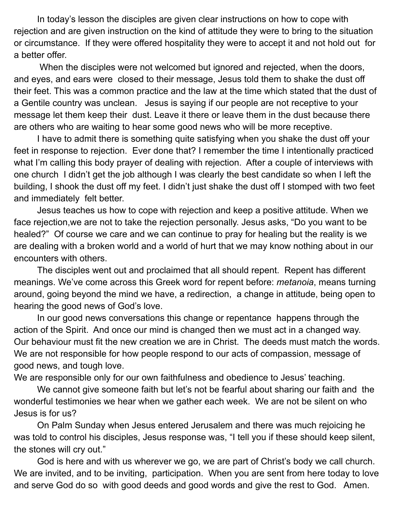In today's lesson the disciples are given clear instructions on how to cope with rejection and are given instruction on the kind of attitude they were to bring to the situation or circumstance. If they were offered hospitality they were to accept it and not hold out for a better offer.

When the disciples were not welcomed but ignored and rejected, when the doors, and eyes, and ears were closed to their message, Jesus told them to shake the dust off their feet. This was a common practice and the law at the time which stated that the dust of a Gentile country was unclean. Jesus is saying if our people are not receptive to your message let them keep their dust. Leave it there or leave them in the dust because there are others who are waiting to hear some good news who will be more receptive.

I have to admit there is something quite satisfying when you shake the dust off your feet in response to rejection. Ever done that? I remember the time I intentionally practiced what I'm calling this body prayer of dealing with rejection. After a couple of interviews with one church I didn't get the job although I was clearly the best candidate so when I left the building, I shook the dust off my feet. I didn't just shake the dust off I stomped with two feet and immediately felt better.

Jesus teaches us how to cope with rejection and keep a positive attitude. When we face rejection,we are not to take the rejection personally. Jesus asks, "Do you want to be healed?" Of course we care and we can continue to pray for healing but the reality is we are dealing with a broken world and a world of hurt that we may know nothing about in our encounters with others.

The disciples went out and proclaimed that all should repent. Repent has different meanings. We've come across this Greek word for repent before: *metanoia*, means turning around, going beyond the mind we have, a redirection, a change in attitude, being open to hearing the good news of God's love.

In our good news conversations this change or repentance happens through the action of the Spirit. And once our mind is changed then we must act in a changed way. Our behaviour must fit the new creation we are in Christ. The deeds must match the words. We are not responsible for how people respond to our acts of compassion, message of good news, and tough love.

We are responsible only for our own faithfulness and obedience to Jesus' teaching.

We cannot give someone faith but let's not be fearful about sharing our faith and the wonderful testimonies we hear when we gather each week. We are not be silent on who Jesus is for us?

On Palm Sunday when Jesus entered Jerusalem and there was much rejoicing he was told to control his disciples, Jesus response was, "I tell you if these should keep silent, the stones will cry out."

God is here and with us wherever we go, we are part of Christ's body we call church. We are invited, and to be inviting, participation. When you are sent from here today to love and serve God do so with good deeds and good words and give the rest to God. Amen.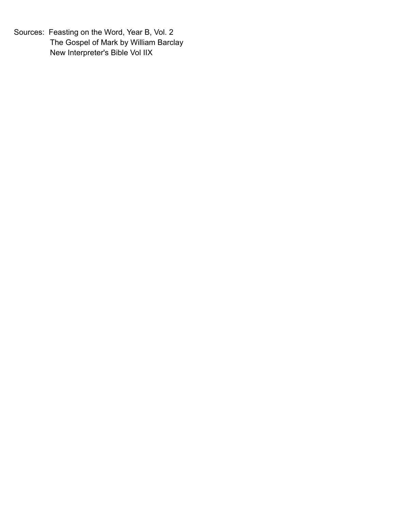Sources: Feasting on the Word, Year B, Vol. 2 The Gospel of Mark by William Barclay New Interpreter's Bible Vol IIX